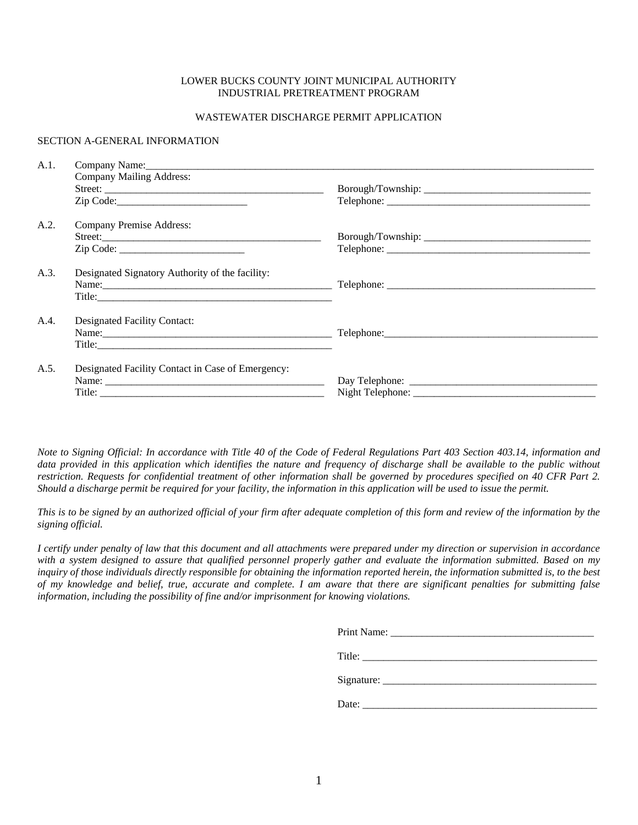### LOWER BUCKS COUNTY JOINT MUNICIPAL AUTHORITY INDUSTRIAL PRETREATMENT PROGRAM

### WASTEWATER DISCHARGE PERMIT APPLICATION

### SECTION A-GENERAL INFORMATION

| A.1. | Company Name: Name: Name: Name: Name: Name: Name: Name: Name: Name: Name: Name: Name: Name: Name: Name: Name: Name: Name: Name: Name: Name: Name: Name: Name: Name: Name: Name: Name: Name: Name: Name: Name: Name: Name: Name |  |  |  |  |
|------|--------------------------------------------------------------------------------------------------------------------------------------------------------------------------------------------------------------------------------|--|--|--|--|
|      | <b>Company Mailing Address:</b>                                                                                                                                                                                                |  |  |  |  |
|      |                                                                                                                                                                                                                                |  |  |  |  |
|      |                                                                                                                                                                                                                                |  |  |  |  |
| A.2. | Company Premise Address:                                                                                                                                                                                                       |  |  |  |  |
|      |                                                                                                                                                                                                                                |  |  |  |  |
|      |                                                                                                                                                                                                                                |  |  |  |  |
| A.3. | Designated Signatory Authority of the facility:                                                                                                                                                                                |  |  |  |  |
|      |                                                                                                                                                                                                                                |  |  |  |  |
|      |                                                                                                                                                                                                                                |  |  |  |  |
| A.4. | Designated Facility Contact:                                                                                                                                                                                                   |  |  |  |  |
|      |                                                                                                                                                                                                                                |  |  |  |  |
|      |                                                                                                                                                                                                                                |  |  |  |  |
| A.5. | Designated Facility Contact in Case of Emergency:                                                                                                                                                                              |  |  |  |  |
|      | Name: Name and the state of the state of the state of the state of the state of the state of the state of the state of the state of the state of the state of the state of the state of the state of the state of the state of |  |  |  |  |
|      |                                                                                                                                                                                                                                |  |  |  |  |

*Note to Signing Official: In accordance with Title 40 of the Code of Federal Regulations Part 403 Section 403.14, information and data provided in this application which identifies the nature and frequency of discharge shall be available to the public without restriction. Requests for confidential treatment of other information shall be governed by procedures specified on 40 CFR Part 2. Should a discharge permit be required for your facility, the information in this application will be used to issue the permit.* 

*This is to be signed by an authorized official of your firm after adequate completion of this form and review of the information by the signing official.* 

*I certify under penalty of law that this document and all attachments were prepared under my direction or supervision in accordance with a system designed to assure that qualified personnel properly gather and evaluate the information submitted. Based on my inquiry of those individuals directly responsible for obtaining the information reported herein, the information submitted is, to the best of my knowledge and belief, true, accurate and complete. I am aware that there are significant penalties for submitting false information, including the possibility of fine and/or imprisonment for knowing violations.* 

| Date:<br>the contract of the contract of the contract of |
|----------------------------------------------------------|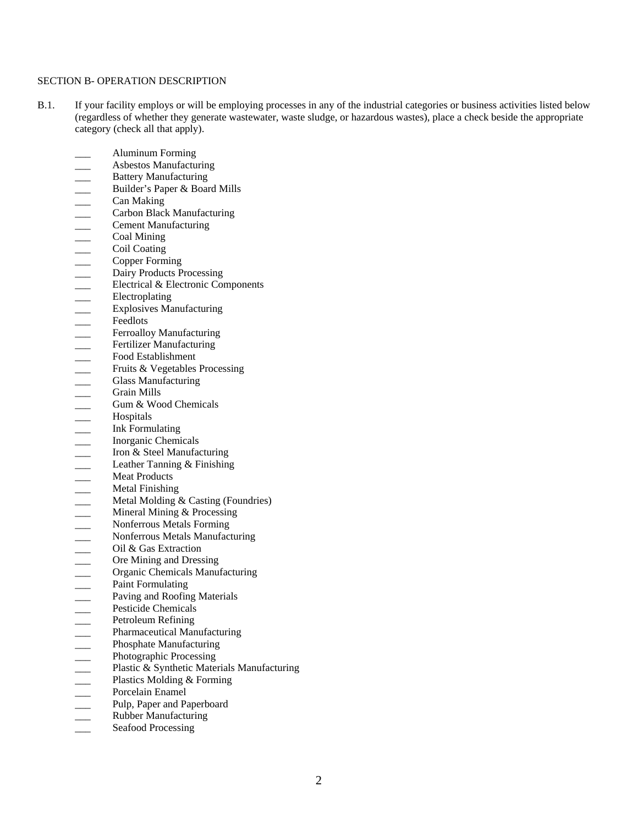### SECTION B- OPERATION DESCRIPTION

- B.1. If your facility employs or will be employing processes in any of the industrial categories or business activities listed below (regardless of whether they generate wastewater, waste sludge, or hazardous wastes), place a check beside the appropriate category (check all that apply).
	- \_\_\_ Aluminum Forming
	- \_\_\_ Asbestos Manufacturing
	-
	- \_\_\_ Builder's Paper & Board Mills
	- \_\_\_ Can Making
	- \_\_\_ Carbon Black Manufacturing
	- \_\_\_ Cement Manufacturing
	- Coal Mining
	- Coil Coating
	- \_\_\_ Copper Forming
	- Dairy Products Processing
	- Electrical & Electronic Components
	- \_\_\_ Electroplating
	- \_\_\_ Explosives Manufacturing
	- Feedlots
	- Ferroalloy Manufacturing
	- Fertilizer Manufacturing
	- Food Establishment
	- Fruits & Vegetables Processing
	- Glass Manufacturing
	- \_\_\_ Grain Mills
	- Gum & Wood Chemicals
	- \_\_\_ Hospitals
	- Ink Formulating
	- \_\_\_ Inorganic Chemicals
	- □<br>
	 Builder's Paper & Boar<br>
	Carbon Black Manufacturing<br>
	απολειλεκ Manufacturing<br>
	απολειλεκ Manufacturing<br>
	απολειλεπίσης<br>
	του Πολειλεκ Process<br>
	Εlectrical & Electronic<br>
	Εlectrical & Electronic<br>
	Εlectrical & Electronic<br> Iron & Steel Manufacturing
	- Leather Tanning & Finishing
	- Meat Products
	- \_\_\_ Metal Finishing
	- Metal Molding & Casting (Foundries)
	- Mineral Mining & Processing
	- \_\_\_ Nonferrous Metals Forming
	- Nonferrous Metals Manufacturing
	- \_\_\_ Oil & Gas Extraction
	- Ore Mining and Dressing
	- \_\_\_ Organic Chemicals Manufacturing
	- Paint Formulating
	- Paving and Roofing Materials
	- Pesticide Chemicals
	- Petroleum Refining
	- Pharmaceutical Manufacturing
	- Phosphate Manufacturing
	- Photographic Processing
	- \_\_\_ Plastic & Synthetic Materials Manufacturing
	- \_\_\_ Plastics Molding & Forming
	- \_\_\_ Porcelain Enamel
	- **EXECUTE:** Pulp, Paper and Paperboard<br> **EXECUTE:** Rubber Manufacturing
	- \_\_\_ Rubber Manufacturing
	- Seafood Processing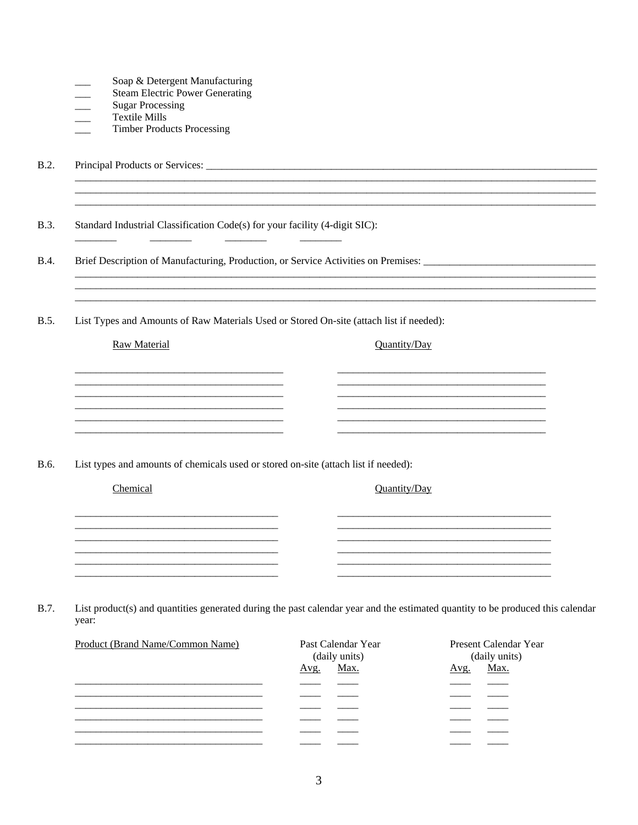|  | Soap & Detergent Manufacturing |
|--|--------------------------------|
|  |                                |

- **Steam Electric Power Generating**
- **Sugar Processing**
- **Textile Mills**
- **Timber Products Processing**

 $B.2.$ 

**B.3.** Standard Industrial Classification Code(s) for your facility (4-digit SIC):

<u> 1980 - Jan Barnett, fransk politik (f. 1980)</u>

Brief Description of Manufacturing, Production, or Service Activities on Premises: \_\_\_\_\_\_\_\_\_\_\_\_\_\_\_\_\_ **B.4.** 

 $\begin{tabular}{ccccc} \multicolumn{2}{c|}{\textbf{1} & \textbf{2} & \textbf{3} & \textbf{4} & \textbf{5} & \textbf{5} & \textbf{6} & \textbf{6} & \textbf{7} & \textbf{8} & \textbf{8} & \textbf{9} & \textbf{10} & \textbf{10} & \textbf{10} & \textbf{10} & \textbf{10} & \textbf{10} & \textbf{10} & \textbf{10} & \textbf{10} & \textbf{10} & \textbf{10} & \textbf{10} & \textbf{10} & \textbf{10} & \textbf{1$ 

**B.5.** List Types and Amounts of Raw Materials Used or Stored On-site (attach list if needed):

Raw Material

Quantity/Day

B.6. List types and amounts of chemicals used or stored on-site (attach list if needed):

Chemical

Quantity/Day

B.7. List product(s) and quantities generated during the past calendar year and the estimated quantity to be produced this calendar year:

| Product (Brand Name/Common Name) | Past Calendar Year<br>(daily units) | Present Calendar Year<br>(daily units) |
|----------------------------------|-------------------------------------|----------------------------------------|
|                                  | Max.<br>Avg.                        | Max.<br>Avg.                           |
|                                  |                                     |                                        |
|                                  |                                     |                                        |
|                                  |                                     |                                        |
|                                  |                                     |                                        |
|                                  |                                     |                                        |
|                                  |                                     |                                        |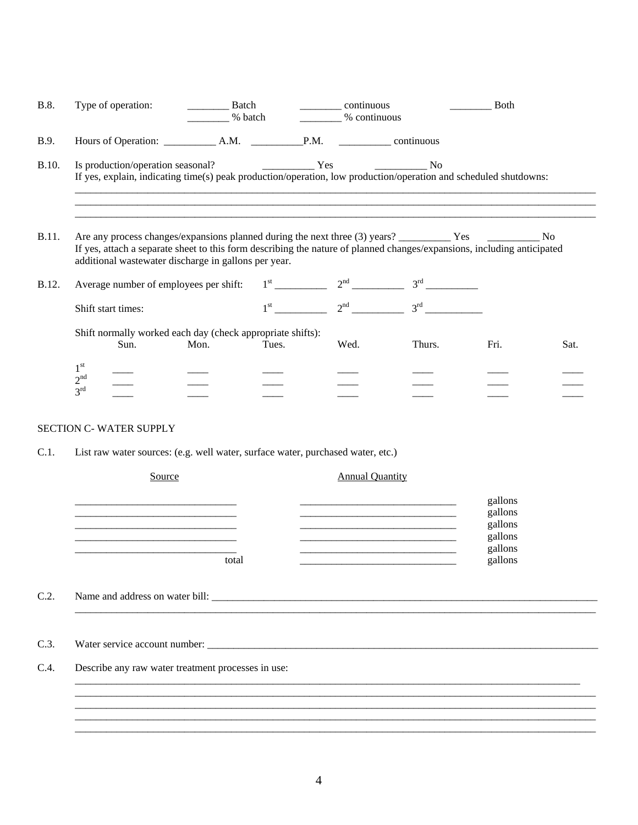| <b>B.8.</b>  | Type of operation:                                    |                                        | <b>Batch</b><br>% batch                                            |              | continuous<br>% continuous |                                                                                                                         | <b>Both</b> |      |
|--------------|-------------------------------------------------------|----------------------------------------|--------------------------------------------------------------------|--------------|----------------------------|-------------------------------------------------------------------------------------------------------------------------|-------------|------|
| B.9.         |                                                       |                                        |                                                                    |              |                            |                                                                                                                         |             |      |
| B.10.        |                                                       |                                        |                                                                    |              |                            | If yes, explain, indicating time(s) peak production/operation, low production/operation and scheduled shutdowns:        |             |      |
| <b>B.11.</b> |                                                       |                                        | additional wastewater discharge in gallons per year.               |              |                            | If yes, attach a separate sheet to this form describing the nature of planned changes/expansions, including anticipated |             |      |
| <b>B.12.</b> |                                                       | Average number of employees per shift: |                                                                    | $1^{\rm st}$ | 2 <sup>nd</sup>            |                                                                                                                         |             |      |
|              | Shift start times:                                    |                                        |                                                                    |              |                            | $1^{\text{st}}$ $2^{\text{nd}}$ $3^{\text{rd}}$                                                                         |             |      |
|              |                                                       | Sun.                                   | Shift normally worked each day (check appropriate shifts):<br>Mon. | Tues.        | Wed.                       | Thurs.                                                                                                                  | Fri.        | Sat. |
|              | 1 <sup>st</sup><br>2 <sup>nd</sup><br>3 <sup>rd</sup> |                                        |                                                                    |              |                            |                                                                                                                         |             |      |

# SECTION C- WATER SUPPLY

C.1. List raw water sources: (e.g. well water, surface water, purchased water, etc.)

| Source                                             | <b>Annual Quantity</b>                                              |                    |
|----------------------------------------------------|---------------------------------------------------------------------|--------------------|
|                                                    |                                                                     | gallons            |
|                                                    |                                                                     | gallons<br>gallons |
|                                                    | <u> 1980 - Johann Barbara, martxa alemaniar amerikan basar da a</u> | gallons            |
| total                                              |                                                                     | gallons<br>gallons |
|                                                    |                                                                     |                    |
|                                                    |                                                                     |                    |
|                                                    |                                                                     |                    |
|                                                    |                                                                     |                    |
|                                                    |                                                                     |                    |
| Describe any raw water treatment processes in use: |                                                                     |                    |
|                                                    |                                                                     |                    |
|                                                    |                                                                     |                    |
|                                                    |                                                                     |                    |
|                                                    |                                                                     |                    |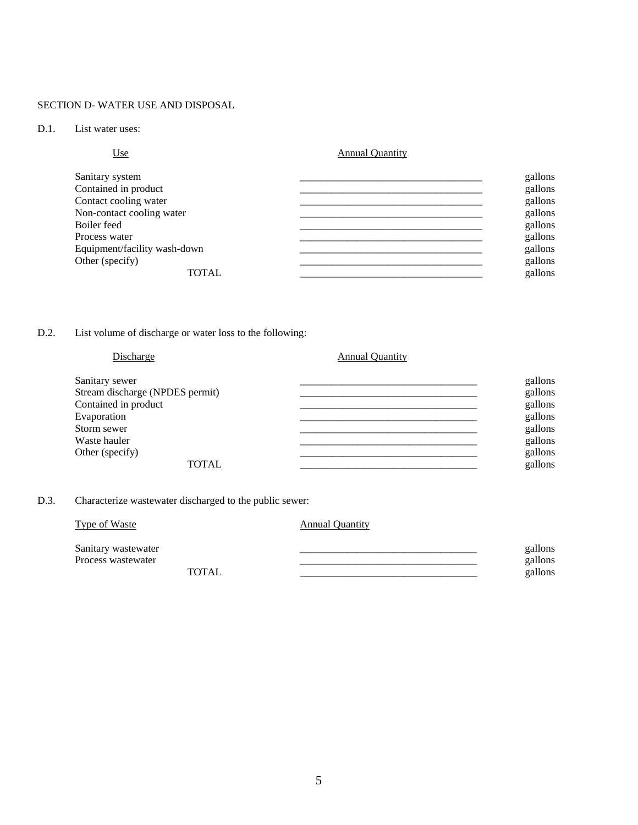### SECTION D- WATER USE AND DISPOSAL

### D.1. List water uses:

| Use                          | <b>Annual Quantity</b> |
|------------------------------|------------------------|
| Sanitary system              | gallons                |
| Contained in product         | gallons                |
| Contact cooling water        | gallons                |
| Non-contact cooling water    | gallons                |
| Boiler feed                  | gallons                |
| Process water                | gallons                |
| Equipment/facility wash-down | gallons                |
| Other (specify)              | gallons                |
| <b>TOTAL</b>                 | gallons                |

## D.2. List volume of discharge or water loss to the following:

| Discharge                       | <b>Annual Quantity</b> |         |
|---------------------------------|------------------------|---------|
| Sanitary sewer                  |                        | gallons |
| Stream discharge (NPDES permit) |                        | gallons |
| Contained in product            |                        | gallons |
| Evaporation                     |                        | gallons |
| Storm sewer                     |                        | gallons |
| Waste hauler                    |                        | gallons |
| Other (specify)                 |                        | gallons |
| <b>TOTAL</b>                    |                        | gallons |

# D.3. Characterize wastewater discharged to the public sewer:

| <b>Type of Waste</b>                      |        | <b>Annual Quantity</b> |                               |
|-------------------------------------------|--------|------------------------|-------------------------------|
| Sanitary wastewater<br>Process wastewater | TOTAL. |                        | gallons<br>gallons<br>gallons |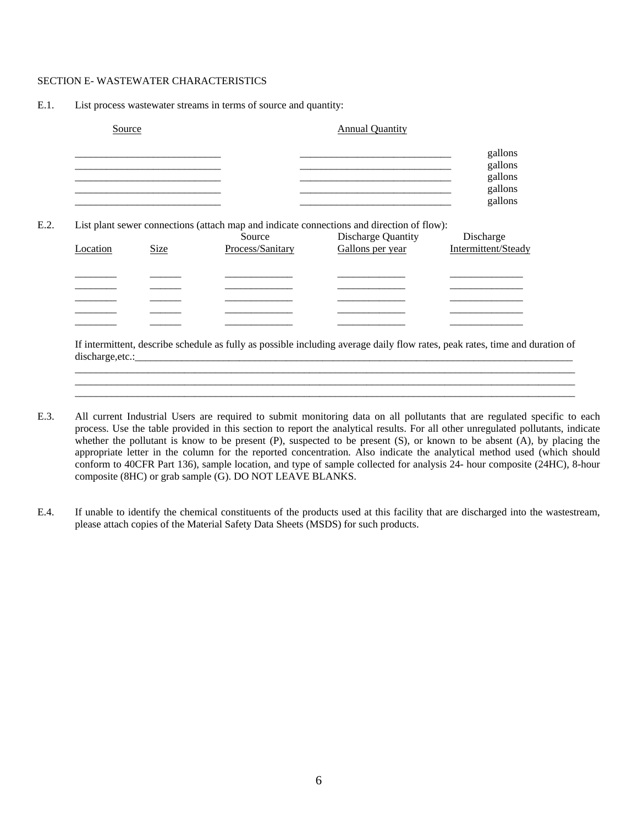### SECTION E- WASTEWATER CHARACTERISTICS

#### E.1. List process wastewater streams in terms of source and quantity:

|          | Source |                                                                                           | <b>Annual Quantity</b>                        |                                                     |
|----------|--------|-------------------------------------------------------------------------------------------|-----------------------------------------------|-----------------------------------------------------|
|          |        |                                                                                           |                                               | gallons<br>gallons<br>gallons<br>gallons<br>gallons |
|          |        |                                                                                           |                                               |                                                     |
|          |        | List plant sewer connections (attach map and indicate connections and direction of flow): |                                               |                                                     |
|          | Size   | Source<br>Process/Sanitary                                                                | <b>Discharge Quantity</b><br>Gallons per year | Discharge<br>Intermittent/Steady                    |
|          |        |                                                                                           |                                               |                                                     |
|          |        |                                                                                           |                                               |                                                     |
|          |        |                                                                                           |                                               |                                                     |
| Location |        |                                                                                           |                                               |                                                     |

 If intermittent, describe schedule as fully as possible including average daily flow rates, peak rates, time and duration of discharge, etc.:

 $\mathcal{L}_\mathcal{L} = \mathcal{L}_\mathcal{L} = \mathcal{L}_\mathcal{L} = \mathcal{L}_\mathcal{L} = \mathcal{L}_\mathcal{L} = \mathcal{L}_\mathcal{L} = \mathcal{L}_\mathcal{L} = \mathcal{L}_\mathcal{L} = \mathcal{L}_\mathcal{L} = \mathcal{L}_\mathcal{L} = \mathcal{L}_\mathcal{L} = \mathcal{L}_\mathcal{L} = \mathcal{L}_\mathcal{L} = \mathcal{L}_\mathcal{L} = \mathcal{L}_\mathcal{L} = \mathcal{L}_\mathcal{L} = \mathcal{L}_\mathcal{L}$  $\mathcal{L}_\mathcal{L} = \mathcal{L}_\mathcal{L} = \mathcal{L}_\mathcal{L} = \mathcal{L}_\mathcal{L} = \mathcal{L}_\mathcal{L} = \mathcal{L}_\mathcal{L} = \mathcal{L}_\mathcal{L} = \mathcal{L}_\mathcal{L} = \mathcal{L}_\mathcal{L} = \mathcal{L}_\mathcal{L} = \mathcal{L}_\mathcal{L} = \mathcal{L}_\mathcal{L} = \mathcal{L}_\mathcal{L} = \mathcal{L}_\mathcal{L} = \mathcal{L}_\mathcal{L} = \mathcal{L}_\mathcal{L} = \mathcal{L}_\mathcal{L}$  $\mathcal{L}_\text{max} = \frac{1}{2} \left[ \mathcal{L}_\text{max} - \mathcal{L}_\text{max} \right] \left[ \mathcal{L}_\text{max} - \mathcal{L}_\text{max} \right] \left[ \mathcal{L}_\text{max} - \mathcal{L}_\text{max} \right] \left[ \mathcal{L}_\text{max} - \mathcal{L}_\text{max} \right] \left[ \mathcal{L}_\text{max} - \mathcal{L}_\text{max} \right] \left[ \mathcal{L}_\text{max} - \mathcal{L}_\text{max} \right] \left[ \mathcal{L}_\text{max} - \mathcal{L}_\text{max} \$ 

- E.3. All current Industrial Users are required to submit monitoring data on all pollutants that are regulated specific to each process. Use the table provided in this section to report the analytical results. For all other unregulated pollutants, indicate whether the pollutant is know to be present (P), suspected to be present (S), or known to be absent (A), by placing the appropriate letter in the column for the reported concentration. Also indicate the analytical method used (which should conform to 40CFR Part 136), sample location, and type of sample collected for analysis 24- hour composite (24HC), 8-hour composite (8HC) or grab sample (G). DO NOT LEAVE BLANKS.
- E.4. If unable to identify the chemical constituents of the products used at this facility that are discharged into the wastestream, please attach copies of the Material Safety Data Sheets (MSDS) for such products.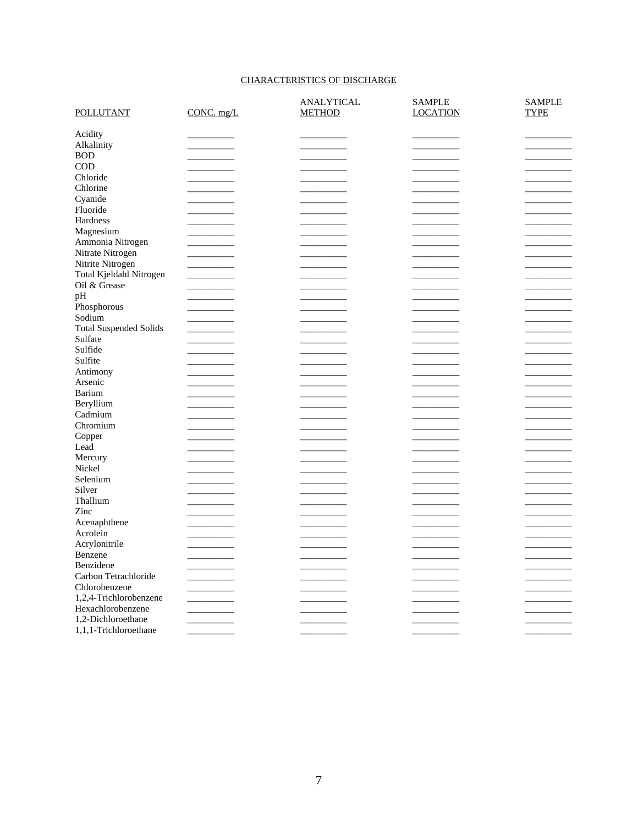## CHARACTERISTICS OF DISCHARGE

|                               |            | ANALYTICAL    | <b>SAMPLE</b>   | <b>SAMPLE</b> |
|-------------------------------|------------|---------------|-----------------|---------------|
| <b>POLLUTANT</b>              | CONC. mg/L | <b>METHOD</b> | <b>LOCATION</b> | <b>TYPE</b>   |
| Acidity                       |            |               |                 |               |
| Alkalinity                    |            |               |                 |               |
| <b>BOD</b>                    |            |               |                 |               |
| <b>COD</b>                    |            |               |                 |               |
| Chloride                      |            |               |                 |               |
| Chlorine                      |            |               |                 |               |
| Cyanide                       |            |               |                 |               |
| Fluoride                      |            |               |                 |               |
| Hardness                      |            |               |                 |               |
| Magnesium                     |            |               |                 |               |
| Ammonia Nitrogen              |            |               |                 |               |
| Nitrate Nitrogen              |            |               |                 |               |
|                               |            |               |                 |               |
| Nitrite Nitrogen              |            |               |                 |               |
| Total Kjeldahl Nitrogen       |            |               |                 |               |
| Oil & Grease                  |            |               |                 |               |
| pH                            |            |               |                 |               |
| Phosphorous                   |            |               |                 |               |
| Sodium                        |            |               |                 |               |
| <b>Total Suspended Solids</b> |            |               |                 |               |
| Sulfate                       |            |               |                 |               |
| Sulfide                       |            |               |                 |               |
| Sulfite                       |            |               |                 |               |
| Antimony                      |            |               |                 |               |
| Arsenic                       |            |               |                 |               |
| Barium                        |            |               |                 |               |
| Beryllium                     |            |               |                 |               |
| Cadmium                       |            |               |                 |               |
| Chromium                      |            |               |                 |               |
| Copper                        |            |               |                 |               |
| Lead                          |            |               |                 |               |
| Mercury                       |            |               |                 |               |
| Nickel                        |            |               |                 |               |
| Selenium                      |            |               |                 |               |
| Silver                        |            |               |                 |               |
| Thallium                      |            |               |                 |               |
| Zinc                          |            |               |                 |               |
| Acenaphthene                  |            |               |                 |               |
| Acrolein                      |            |               |                 |               |
| Acrylonitrile                 |            |               |                 |               |
| Benzene                       |            |               |                 |               |
| Benzidene                     |            |               |                 |               |
| Carbon Tetrachloride          |            |               |                 |               |
|                               |            |               |                 |               |
| Chlorobenzene                 |            |               |                 |               |
| 1,2,4-Trichlorobenzene        |            |               |                 |               |
| Hexachlorobenzene             |            |               |                 |               |
| 1,2-Dichloroethane            |            |               |                 |               |
| 1,1,1-Trichloroethane         |            |               |                 |               |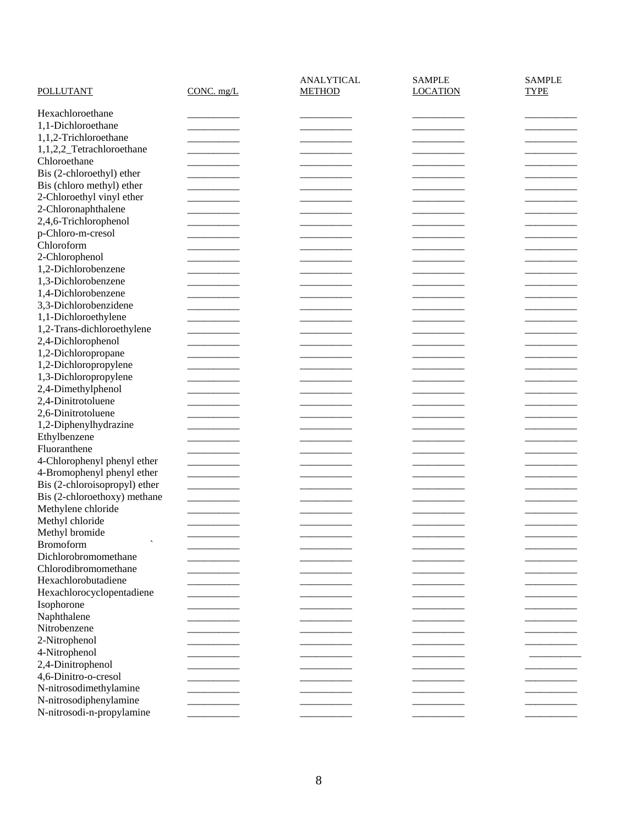| POLLUTANT                     | $CONC.$ mg/ $L$ | ANALYTICAL<br><b>METHOD</b> | <b>SAMPLE</b><br><b>LOCATION</b> | <b>SAMPLE</b><br><b>TYPE</b> |
|-------------------------------|-----------------|-----------------------------|----------------------------------|------------------------------|
| Hexachloroethane              |                 |                             |                                  |                              |
| 1,1-Dichloroethane            |                 |                             |                                  |                              |
| 1,1,2-Trichloroethane         |                 |                             |                                  |                              |
| 1,1,2,2_Tetrachloroethane     |                 |                             |                                  |                              |
| Chloroethane                  |                 |                             |                                  |                              |
| Bis (2-chloroethyl) ether     |                 |                             |                                  |                              |
|                               |                 |                             |                                  |                              |
| Bis (chloro methyl) ether     |                 |                             |                                  |                              |
| 2-Chloroethyl vinyl ether     |                 |                             |                                  |                              |
| 2-Chloronaphthalene           |                 |                             |                                  |                              |
| 2,4,6-Trichlorophenol         |                 |                             |                                  |                              |
| p-Chloro-m-cresol             |                 |                             |                                  |                              |
| Chloroform                    |                 |                             |                                  |                              |
| 2-Chlorophenol                |                 |                             |                                  |                              |
| 1,2-Dichlorobenzene           |                 |                             |                                  |                              |
| 1,3-Dichlorobenzene           |                 |                             |                                  |                              |
| 1,4-Dichlorobenzene           |                 |                             |                                  |                              |
| 3,3-Dichlorobenzidene         |                 |                             |                                  |                              |
| 1,1-Dichloroethylene          |                 |                             |                                  |                              |
| 1,2-Trans-dichloroethylene    |                 |                             |                                  |                              |
| 2,4-Dichlorophenol            |                 |                             |                                  |                              |
| 1,2-Dichloropropane           |                 |                             |                                  |                              |
| 1,2-Dichloropropylene         |                 |                             |                                  |                              |
| 1,3-Dichloropropylene         |                 |                             |                                  |                              |
| 2,4-Dimethylphenol            |                 |                             |                                  |                              |
| 2,4-Dinitrotoluene            |                 |                             |                                  |                              |
| 2,6-Dinitrotoluene            |                 |                             |                                  |                              |
| 1,2-Diphenylhydrazine         |                 |                             |                                  |                              |
| Ethylbenzene                  |                 |                             |                                  |                              |
| Fluoranthene                  |                 |                             |                                  |                              |
| 4-Chlorophenyl phenyl ether   |                 |                             |                                  |                              |
| 4-Bromophenyl phenyl ether    |                 |                             |                                  |                              |
| Bis (2-chloroisopropyl) ether |                 |                             |                                  |                              |
| Bis (2-chloroethoxy) methane  |                 |                             |                                  |                              |
| Methylene chloride            |                 |                             |                                  |                              |
|                               |                 |                             |                                  |                              |
| Methyl chloride               |                 |                             |                                  |                              |
| Methyl bromide                |                 |                             |                                  |                              |
| Bromoform                     |                 |                             |                                  |                              |
| Dichlorobromomethane          |                 |                             |                                  |                              |
| Chlorodibromomethane          |                 |                             |                                  |                              |
| Hexachlorobutadiene           |                 |                             |                                  |                              |
| Hexachlorocyclopentadiene     |                 |                             |                                  |                              |
| Isophorone                    |                 |                             |                                  |                              |
| Naphthalene                   |                 |                             |                                  |                              |
| Nitrobenzene                  |                 |                             |                                  |                              |
| 2-Nitrophenol                 |                 |                             |                                  |                              |
| 4-Nitrophenol                 |                 |                             |                                  |                              |
| 2,4-Dinitrophenol             |                 |                             |                                  |                              |
| 4,6-Dinitro-o-cresol          |                 |                             |                                  |                              |
| N-nitrosodimethylamine        |                 |                             |                                  |                              |
| N-nitrosodiphenylamine        |                 |                             |                                  |                              |
| N-nitrosodi-n-propylamine     |                 |                             |                                  |                              |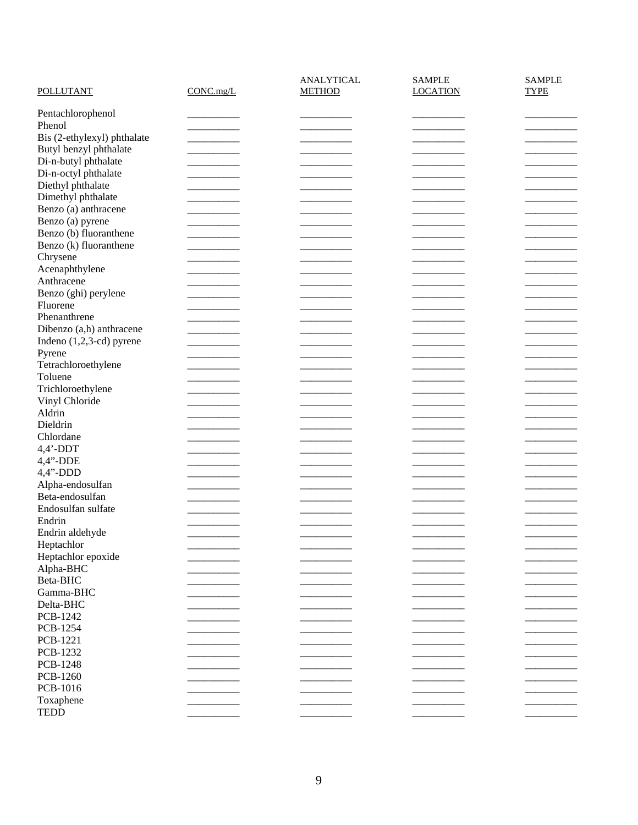|                                   |           | <b>ANALYTICAL</b> | <b>SAMPLE</b>   | <b>SAMPLE</b> |
|-----------------------------------|-----------|-------------------|-----------------|---------------|
| <b>POLLUTANT</b>                  | CONC.mg/L | <b>METHOD</b>     | <b>LOCATION</b> | <b>TYPE</b>   |
| Pentachlorophenol                 |           |                   |                 |               |
| Phenol                            |           |                   |                 |               |
| Bis (2-ethylexyl) phthalate       |           |                   |                 |               |
| Butyl benzyl phthalate            |           |                   |                 |               |
| Di-n-butyl phthalate              |           |                   |                 |               |
| Di-n-octyl phthalate              |           |                   |                 |               |
| Diethyl phthalate                 |           |                   |                 |               |
| Dimethyl phthalate                |           |                   |                 |               |
| Benzo (a) anthracene              |           |                   |                 |               |
| Benzo (a) pyrene                  |           |                   |                 |               |
| Benzo (b) fluoranthene            |           |                   |                 |               |
| Benzo (k) fluoranthene            |           |                   |                 |               |
| Chrysene                          |           |                   |                 |               |
| Acenaphthylene                    |           |                   |                 |               |
| Anthracene                        |           |                   |                 |               |
| Benzo (ghi) perylene              |           |                   |                 |               |
| Fluorene                          |           |                   |                 |               |
| Phenanthrene                      |           |                   |                 |               |
| Dibenzo (a,h) anthracene          |           |                   |                 |               |
| Indeno $(1,2,3-\text{cd})$ pyrene |           |                   |                 |               |
| Pyrene                            |           |                   |                 |               |
| Tetrachloroethylene               |           |                   |                 |               |
| Toluene                           |           |                   |                 |               |
| Trichloroethylene                 |           |                   |                 |               |
| Vinyl Chloride                    |           |                   |                 |               |
| Aldrin                            |           |                   |                 |               |
| Dieldrin                          |           |                   |                 |               |
| Chlordane                         |           |                   |                 |               |
| $4,4'$ -DDT                       |           |                   |                 |               |
| 4,4"-DDE                          |           |                   |                 |               |
| 4,4"-DDD                          |           |                   |                 |               |
| Alpha-endosulfan                  |           |                   |                 |               |
| Beta-endosulfan                   |           |                   |                 |               |
| Endosulfan sulfate                |           |                   |                 |               |
| Endrin                            |           |                   |                 |               |
| Endrin aldehyde                   |           |                   |                 |               |
| Heptachlor                        |           |                   |                 |               |
| Heptachlor epoxide                |           |                   |                 |               |
| Alpha-BHC                         |           |                   |                 |               |
| Beta-BHC                          |           |                   |                 |               |
| Gamma-BHC                         |           |                   |                 |               |
| Delta-BHC                         |           |                   |                 |               |
| PCB-1242                          |           |                   |                 |               |
| PCB-1254                          |           |                   |                 |               |
| PCB-1221                          |           |                   |                 |               |
| PCB-1232                          |           |                   |                 |               |
| <b>PCB-1248</b>                   |           |                   |                 |               |
| PCB-1260                          |           |                   |                 |               |
| PCB-1016                          |           |                   |                 |               |
| Toxaphene                         |           |                   |                 |               |
| <b>TEDD</b>                       |           |                   |                 |               |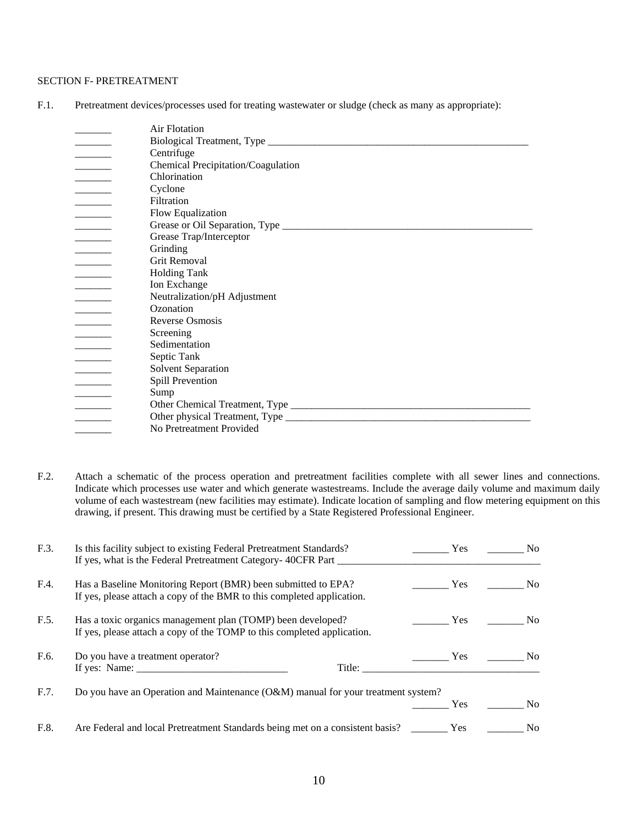### SECTION F- PRETREATMENT

F.1. Pretreatment devices/processes used for treating wastewater or sludge (check as many as appropriate):

|                                                                                                                                                                                                                                                                                                                                                                                                                                    | Air Flotation                      |
|------------------------------------------------------------------------------------------------------------------------------------------------------------------------------------------------------------------------------------------------------------------------------------------------------------------------------------------------------------------------------------------------------------------------------------|------------------------------------|
|                                                                                                                                                                                                                                                                                                                                                                                                                                    |                                    |
|                                                                                                                                                                                                                                                                                                                                                                                                                                    | Centrifuge                         |
|                                                                                                                                                                                                                                                                                                                                                                                                                                    | Chemical Precipitation/Coagulation |
| $\begin{array}{ccccccccc} \textbf{1} & \textbf{1} & \textbf{1} & \textbf{1} & \textbf{1} & \textbf{1} & \textbf{1} & \textbf{1} & \textbf{1} & \textbf{1} & \textbf{1} & \textbf{1} & \textbf{1} & \textbf{1} & \textbf{1} & \textbf{1} & \textbf{1} & \textbf{1} & \textbf{1} & \textbf{1} & \textbf{1} & \textbf{1} & \textbf{1} & \textbf{1} & \textbf{1} & \textbf{1} & \textbf{1} & \textbf{1} & \textbf{1} & \textbf{1} & \$ | Chlorination                       |
|                                                                                                                                                                                                                                                                                                                                                                                                                                    | Cyclone                            |
|                                                                                                                                                                                                                                                                                                                                                                                                                                    | Filtration                         |
| $\overline{\phantom{a}}$                                                                                                                                                                                                                                                                                                                                                                                                           | Flow Equalization                  |
|                                                                                                                                                                                                                                                                                                                                                                                                                                    |                                    |
|                                                                                                                                                                                                                                                                                                                                                                                                                                    | Grease Trap/Interceptor            |
|                                                                                                                                                                                                                                                                                                                                                                                                                                    | Grinding                           |
|                                                                                                                                                                                                                                                                                                                                                                                                                                    | <b>Grit Removal</b>                |
|                                                                                                                                                                                                                                                                                                                                                                                                                                    | <b>Holding Tank</b>                |
| $\frac{1}{2} \left( \frac{1}{2} \frac{1}{2} \frac{1}{2} \frac{1}{2} \frac{1}{2} \frac{1}{2} \frac{1}{2} \frac{1}{2} \frac{1}{2} \frac{1}{2} \frac{1}{2} \frac{1}{2} \frac{1}{2} \frac{1}{2} \frac{1}{2} \frac{1}{2} \frac{1}{2} \frac{1}{2} \frac{1}{2} \frac{1}{2} \frac{1}{2} \frac{1}{2} \frac{1}{2} \frac{1}{2} \frac{1}{2} \frac{1}{2} \frac{1}{2} \frac{1}{2} \frac{1}{2} \frac{1}{2}$                                       | Ion Exchange                       |
| $\overline{\phantom{a}}$                                                                                                                                                                                                                                                                                                                                                                                                           | Neutralization/pH Adjustment       |
|                                                                                                                                                                                                                                                                                                                                                                                                                                    | Ozonation                          |
|                                                                                                                                                                                                                                                                                                                                                                                                                                    | Reverse Osmosis                    |
|                                                                                                                                                                                                                                                                                                                                                                                                                                    | Screening                          |
| $\overline{\phantom{a}}$                                                                                                                                                                                                                                                                                                                                                                                                           | Sedimentation                      |
|                                                                                                                                                                                                                                                                                                                                                                                                                                    | Septic Tank                        |
| $\frac{1}{2}$ . The contract of $\frac{1}{2}$                                                                                                                                                                                                                                                                                                                                                                                      | Solvent Separation                 |
|                                                                                                                                                                                                                                                                                                                                                                                                                                    | Spill Prevention                   |
|                                                                                                                                                                                                                                                                                                                                                                                                                                    | Sump                               |
|                                                                                                                                                                                                                                                                                                                                                                                                                                    |                                    |
|                                                                                                                                                                                                                                                                                                                                                                                                                                    |                                    |
|                                                                                                                                                                                                                                                                                                                                                                                                                                    | No Pretreatment Provided           |

F.2. Attach a schematic of the process operation and pretreatment facilities complete with all sewer lines and connections. Indicate which processes use water and which generate wastestreams. Include the average daily volume and maximum daily volume of each wastestream (new facilities may estimate). Indicate location of sampling and flow metering equipment on this drawing, if present. This drawing must be certified by a State Registered Professional Engineer.

| F.3. | Is this facility subject to existing Federal Pretreatment Standards?<br>If yes, what is the Federal Pretreatment Category-40CFR Part    | Yes        | No             |
|------|-----------------------------------------------------------------------------------------------------------------------------------------|------------|----------------|
| F.4. | Has a Baseline Monitoring Report (BMR) been submitted to EPA?<br>If yes, please attach a copy of the BMR to this completed application. | Yes        | N <sub>o</sub> |
| F.5. | Has a toxic organics management plan (TOMP) been developed?<br>If yes, please attach a copy of the TOMP to this completed application.  | Yes        | N <sub>o</sub> |
| F.6. | Do you have a treatment operator?<br>Title:                                                                                             | <b>Yes</b> | No.            |
| F.7. | Do you have an Operation and Maintenance (O&M) manual for your treatment system?                                                        |            | No.            |
| F.8. | Are Federal and local Pretreatment Standards being met on a consistent basis?                                                           | Yes<br>Yes | No             |
|      |                                                                                                                                         |            |                |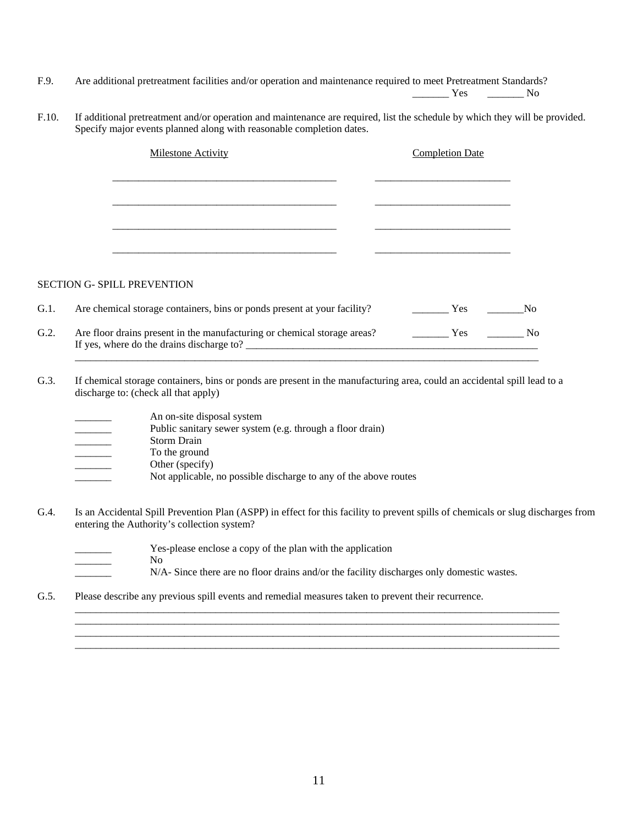F.9. Are additional pretreatment facilities and/or operation and maintenance required to meet Pretreatment Standards?

\_\_\_\_\_\_\_ Yes \_\_\_\_\_\_\_ No

F.10. If additional pretreatment and/or operation and maintenance are required, list the schedule by which they will be provided. Specify major events planned along with reasonable completion dates.

|      | <b>Milestone Activity</b>                                                                                             | <b>Completion Date</b> |                |
|------|-----------------------------------------------------------------------------------------------------------------------|------------------------|----------------|
|      |                                                                                                                       |                        |                |
|      |                                                                                                                       |                        |                |
|      |                                                                                                                       |                        |                |
|      |                                                                                                                       |                        |                |
|      | <b>SECTION G- SPILL PREVENTION</b>                                                                                    |                        |                |
| G.1. | Are chemical storage containers, bins or ponds present at your facility?                                              | <b>Yes</b>             | N <sub>0</sub> |
| G.2. | Are floor drains present in the manufacturing or chemical storage areas?<br>If yes, where do the drains discharge to? | Yes                    | N <sub>o</sub> |

- G.3. If chemical storage containers, bins or ponds are present in the manufacturing area, could an accidental spill lead to a discharge to: (check all that apply)
	- An on-site disposal system
	- Public sanitary sewer system (e.g. through a floor drain) \_\_\_\_\_\_\_ Storm Drain To the ground Other (specify) \_\_\_\_\_\_\_ Not applicable, no possible discharge to any of the above routes
- G.4. Is an Accidental Spill Prevention Plan (ASPP) in effect for this facility to prevent spills of chemicals or slug discharges from entering the Authority's collection system?
	- Yes-please enclose a copy of the plan with the application
	- $\rm No$
	- N/A- Since there are no floor drains and/or the facility discharges only domestic wastes.

 $\mathcal{L}_\mathcal{L} = \{ \mathcal{L}_\mathcal{L} = \{ \mathcal{L}_\mathcal{L} = \{ \mathcal{L}_\mathcal{L} = \{ \mathcal{L}_\mathcal{L} = \{ \mathcal{L}_\mathcal{L} = \{ \mathcal{L}_\mathcal{L} = \{ \mathcal{L}_\mathcal{L} = \{ \mathcal{L}_\mathcal{L} = \{ \mathcal{L}_\mathcal{L} = \{ \mathcal{L}_\mathcal{L} = \{ \mathcal{L}_\mathcal{L} = \{ \mathcal{L}_\mathcal{L} = \{ \mathcal{L}_\mathcal{L} = \{ \mathcal{L}_\mathcal{$  $\mathcal{L}_\mathcal{L} = \mathcal{L}_\mathcal{L} = \mathcal{L}_\mathcal{L} = \mathcal{L}_\mathcal{L} = \mathcal{L}_\mathcal{L} = \mathcal{L}_\mathcal{L} = \mathcal{L}_\mathcal{L} = \mathcal{L}_\mathcal{L} = \mathcal{L}_\mathcal{L} = \mathcal{L}_\mathcal{L} = \mathcal{L}_\mathcal{L} = \mathcal{L}_\mathcal{L} = \mathcal{L}_\mathcal{L} = \mathcal{L}_\mathcal{L} = \mathcal{L}_\mathcal{L} = \mathcal{L}_\mathcal{L} = \mathcal{L}_\mathcal{L}$  $\mathcal{L}_\mathcal{L} = \mathcal{L}_\mathcal{L} = \mathcal{L}_\mathcal{L} = \mathcal{L}_\mathcal{L} = \mathcal{L}_\mathcal{L} = \mathcal{L}_\mathcal{L} = \mathcal{L}_\mathcal{L} = \mathcal{L}_\mathcal{L} = \mathcal{L}_\mathcal{L} = \mathcal{L}_\mathcal{L} = \mathcal{L}_\mathcal{L} = \mathcal{L}_\mathcal{L} = \mathcal{L}_\mathcal{L} = \mathcal{L}_\mathcal{L} = \mathcal{L}_\mathcal{L} = \mathcal{L}_\mathcal{L} = \mathcal{L}_\mathcal{L}$  $\mathcal{L}_\mathcal{L} = \{ \mathcal{L}_\mathcal{L} = \{ \mathcal{L}_\mathcal{L} = \{ \mathcal{L}_\mathcal{L} = \{ \mathcal{L}_\mathcal{L} = \{ \mathcal{L}_\mathcal{L} = \{ \mathcal{L}_\mathcal{L} = \{ \mathcal{L}_\mathcal{L} = \{ \mathcal{L}_\mathcal{L} = \{ \mathcal{L}_\mathcal{L} = \{ \mathcal{L}_\mathcal{L} = \{ \mathcal{L}_\mathcal{L} = \{ \mathcal{L}_\mathcal{L} = \{ \mathcal{L}_\mathcal{L} = \{ \mathcal{L}_\mathcal{$ 

G.5. Please describe any previous spill events and remedial measures taken to prevent their recurrence.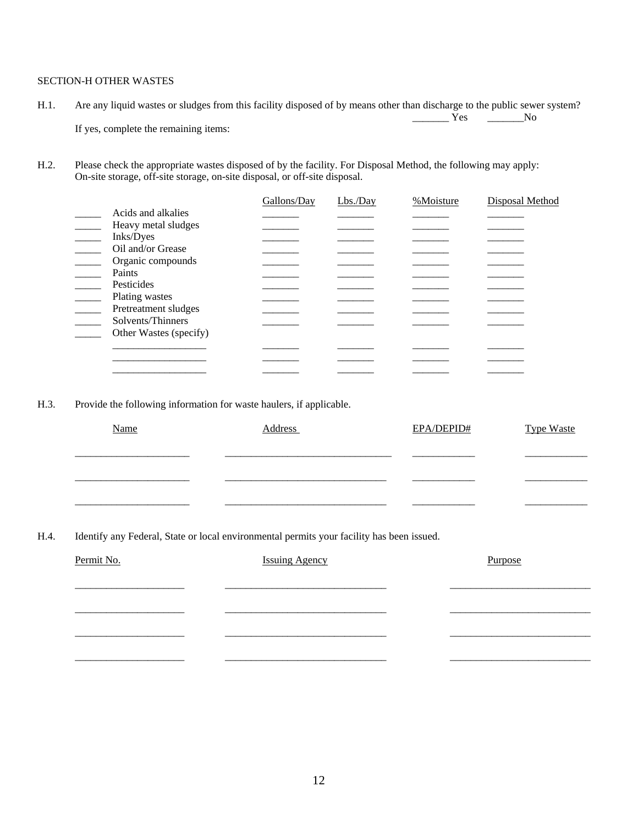### SECTION-H OTHER WASTES

- H.1. Are any liquid wastes or sludges from this facility disposed of by means other than discharge to the public sewer system?  $\overline{Y}$ es  $\overline{Y}$ es No If yes, complete the remaining items:
- H.2. Please check the appropriate wastes disposed of by the facility. For Disposal Method, the following may apply: On-site storage, off-site storage, on-site disposal, or off-site disposal.

|                        | Gallons/Day | $Lbs$ ./Day | %Moisture | <b>Disposal Method</b> |
|------------------------|-------------|-------------|-----------|------------------------|
| Acids and alkalies     |             |             |           |                        |
| Heavy metal sludges    |             |             |           |                        |
| Inks/Dyes              |             |             |           |                        |
| Oil and/or Grease      |             |             |           |                        |
| Organic compounds      |             |             |           |                        |
| Paints                 |             |             |           |                        |
| Pesticides             |             |             |           |                        |
| Plating wastes         |             |             |           |                        |
| Pretreatment sludges   |             |             |           |                        |
| Solvents/Thinners      |             |             |           |                        |
| Other Wastes (specify) |             |             |           |                        |
|                        |             |             |           |                        |
|                        |             |             |           |                        |
|                        |             |             |           |                        |
|                        |             |             |           |                        |

H.3. Provide the following information for waste haulers, if applicable.

| Name | Address | EPA/DEPID# | <b>Type Waste</b> |
|------|---------|------------|-------------------|
|      |         |            |                   |
|      |         |            |                   |
|      |         |            |                   |

H.4. Identify any Federal, State or local environmental permits your facility has been issued.

| Permit No. | <b>Issuing Agency</b> | Purpose |
|------------|-----------------------|---------|
|            |                       |         |
|            |                       |         |
|            |                       |         |
|            |                       |         |
|            |                       |         |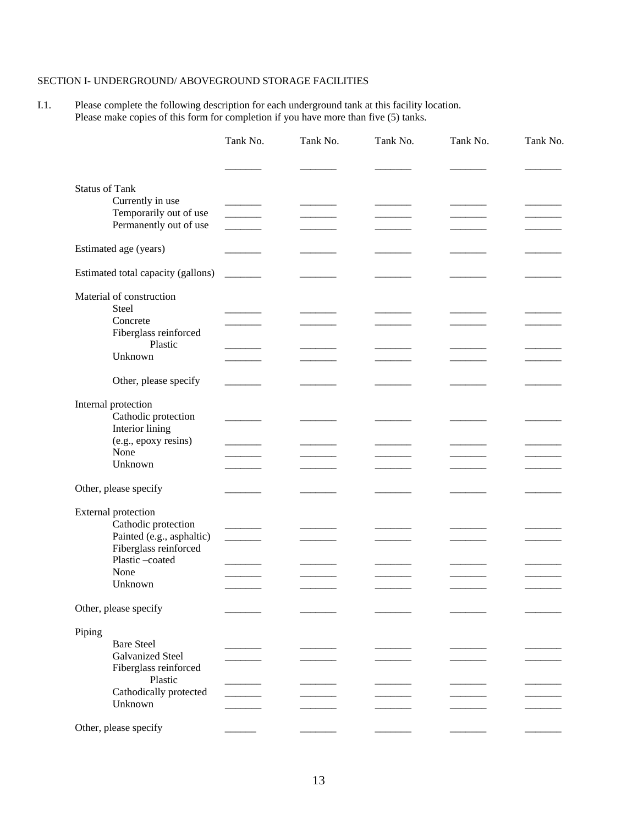## SECTION I- UNDERGROUND/ ABOVEGROUND STORAGE FACILITIES

I.1. Please complete the following description for each underground tank at this facility location. Please make copies of this form for completion if you have more than five (5) tanks.

|                                    | Tank No. | Tank No. | Tank No. | Tank No. | Tank No. |
|------------------------------------|----------|----------|----------|----------|----------|
|                                    |          |          |          |          |          |
| <b>Status of Tank</b>              |          |          |          |          |          |
| Currently in use                   |          |          |          |          |          |
| Temporarily out of use             |          |          |          |          |          |
| Permanently out of use             |          |          |          |          |          |
| Estimated age (years)              |          |          |          |          |          |
| Estimated total capacity (gallons) |          |          |          |          |          |
| Material of construction           |          |          |          |          |          |
| Steel                              |          |          |          |          |          |
| Concrete                           |          |          |          |          |          |
| Fiberglass reinforced<br>Plastic   |          |          |          |          |          |
| Unknown                            |          |          |          |          |          |
|                                    |          |          |          |          |          |
| Other, please specify              |          |          |          |          |          |
| Internal protection                |          |          |          |          |          |
| Cathodic protection                |          |          |          |          |          |
| Interior lining                    |          |          |          |          |          |
| (e.g., epoxy resins)               |          |          |          |          |          |
| None                               |          |          |          |          |          |
| Unknown                            |          |          |          |          |          |
| Other, please specify              |          |          |          |          |          |
| <b>External protection</b>         |          |          |          |          |          |
| Cathodic protection                |          |          |          |          |          |
| Painted (e.g., asphaltic)          |          |          |          |          |          |
| Fiberglass reinforced              |          |          |          |          |          |
| Plastic-coated                     |          |          |          |          |          |
| None                               |          |          |          |          |          |
| Unknown                            |          |          |          |          |          |
| Other, please specify              |          |          |          |          |          |
| Piping                             |          |          |          |          |          |
| <b>Bare Steel</b>                  |          |          |          |          |          |
| <b>Galvanized Steel</b>            |          |          |          |          |          |
| Fiberglass reinforced<br>Plastic   |          |          |          |          |          |
| Cathodically protected             |          |          |          |          |          |
| Unknown                            |          |          |          |          |          |
|                                    |          |          |          |          |          |
| Other, please specify              |          |          |          |          |          |